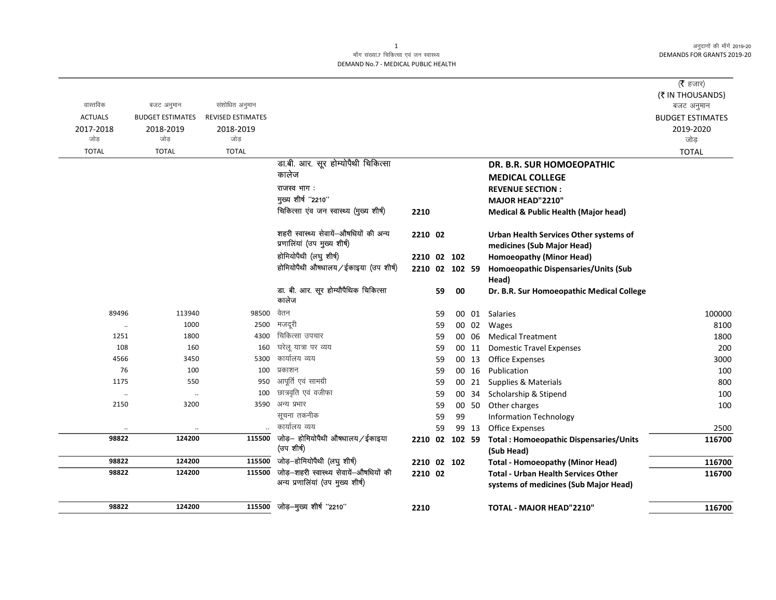अनुदानों की माँगें 2019-20 DEMANDS FOR GRANTS 2019-20

 $\overline{\phantom{0}}$ 

## माँग संख्या.7 चिकित्सा एवं जन स्वास्थ्य DEMAND No.7 - MEDICAL PUBLIC HEALTH

| वास्तविक<br><b>ACTUALS</b><br>2017-2018<br>जोड | बजट अनुमान<br><b>BUDGET ESTIMATES</b><br>2018-2019<br>जोड | संशोधित अनुमान<br><b>REVISED ESTIMATES</b><br>2018-2019<br>जोड |                                                                                                                              |                |    |    |       |                                                                                                                                                              | ( $\bar{\tau}$ हजार)<br>(₹ IN THOUSANDS)<br>बजट अनुमान<br><b>BUDGET ESTIMATES</b><br>2019-2020<br>जोड़ |
|------------------------------------------------|-----------------------------------------------------------|----------------------------------------------------------------|------------------------------------------------------------------------------------------------------------------------------|----------------|----|----|-------|--------------------------------------------------------------------------------------------------------------------------------------------------------------|--------------------------------------------------------------------------------------------------------|
| <b>TOTAL</b>                                   | <b>TOTAL</b>                                              | <b>TOTAL</b>                                                   |                                                                                                                              |                |    |    |       |                                                                                                                                                              | <b>TOTAL</b>                                                                                           |
|                                                |                                                           |                                                                | डा.बी. आर. सूर होम्योपैथी चिकित्सा<br>कालेज<br>राजस्व भाग :<br>मुख्य शीर्ष "2210"<br>चिकित्सा एंव जन स्वास्थ्य (मुख्य शीर्ष) | 2210           |    |    |       | DR. B.R. SUR HOMOEOPATHIC<br><b>MEDICAL COLLEGE</b><br><b>REVENUE SECTION:</b><br><b>MAJOR HEAD"2210"</b><br><b>Medical &amp; Public Health (Major head)</b> |                                                                                                        |
|                                                |                                                           |                                                                | शहरी स्वास्थ्य सेवायें—औषधियों की अन्य<br>प्रणालियां (उप मुख्य शीर्ष)                                                        | 2210 02        |    |    |       | Urban Health Services Other systems of<br>medicines (Sub Major Head)                                                                                         |                                                                                                        |
|                                                |                                                           |                                                                | होमियोपैथी (लघु शीर्ष)                                                                                                       | 2210 02 102    |    |    |       | <b>Homoeopathy (Minor Head)</b>                                                                                                                              |                                                                                                        |
|                                                |                                                           |                                                                | होमियोपैथी औषधालय / ईकाइया (उप शीर्ष)                                                                                        | 2210 02 102 59 |    |    |       | Homoeopathic Dispensaries/Units (Sub                                                                                                                         |                                                                                                        |
|                                                |                                                           |                                                                |                                                                                                                              |                |    |    |       | Head)                                                                                                                                                        |                                                                                                        |
|                                                |                                                           |                                                                | डा. बी. आर. सूर होम्यौपैथिक चिकित्सा<br>कालेज                                                                                |                | 59 | 00 |       | Dr. B.R. Sur Homoeopathic Medical College                                                                                                                    |                                                                                                        |
| 89496                                          | 113940                                                    | 98500                                                          | वेतन                                                                                                                         |                | 59 |    |       | 00 01 Salaries                                                                                                                                               | 100000                                                                                                 |
| $\ddotsc$                                      | 1000                                                      | 2500                                                           | मजदूरी                                                                                                                       |                | 59 |    | 00 02 | Wages                                                                                                                                                        | 8100                                                                                                   |
| 1251                                           | 1800                                                      | 4300                                                           | चिकित्सा उपचार                                                                                                               |                | 59 |    | 00 06 | <b>Medical Treatment</b>                                                                                                                                     | 1800                                                                                                   |
| 108                                            | 160                                                       | 160                                                            | घरेलू यात्रा पर व्यय                                                                                                         |                | 59 |    | 00 11 | <b>Domestic Travel Expenses</b>                                                                                                                              | 200                                                                                                    |
| 4566                                           | 3450                                                      | 5300                                                           | कार्यालय व्यय                                                                                                                |                | 59 |    | 00 13 | Office Expenses                                                                                                                                              | 3000                                                                                                   |
| 76                                             | 100                                                       | 100                                                            | प्रकाशन                                                                                                                      |                | 59 |    | 00 16 | Publication                                                                                                                                                  | 100                                                                                                    |
| 1175                                           | 550                                                       | 950                                                            | आपूर्ति एवं सामग्री                                                                                                          |                | 59 |    | 00 21 | Supplies & Materials                                                                                                                                         | 800                                                                                                    |
| $\cdot\cdot$                                   | $\ddotsc$                                                 | 100                                                            | छात्रवृति एवं वजीफा                                                                                                          |                | 59 | 00 | 34    | Scholarship & Stipend                                                                                                                                        | 100                                                                                                    |
| 2150                                           | 3200                                                      | 3590                                                           | अन्य प्रभार                                                                                                                  |                | 59 |    | 00 50 | Other charges                                                                                                                                                | 100                                                                                                    |
|                                                |                                                           |                                                                | सूचना तकनीक                                                                                                                  |                | 59 | 99 |       | <b>Information Technology</b>                                                                                                                                |                                                                                                        |
|                                                |                                                           |                                                                | कार्यालय व्यय                                                                                                                |                | 59 |    | 99 13 | <b>Office Expenses</b>                                                                                                                                       | 2500                                                                                                   |
| 98822                                          | 124200                                                    | 115500                                                         | जोड़- होमियोपैथी औषधालय/ईकाइया<br>(उप शीर्ष)                                                                                 | 2210 02 102 59 |    |    |       | <b>Total: Homoeopathic Dispensaries/Units</b><br>(Sub Head)                                                                                                  | 116700                                                                                                 |
| 98822                                          | 124200                                                    | 115500                                                         | जोड़-होमियोपैथी (लघु शीर्ष)                                                                                                  | 2210 02 102    |    |    |       | <b>Total - Homoeopathy (Minor Head)</b>                                                                                                                      | 116700                                                                                                 |
| 98822                                          | 124200                                                    | 115500                                                         | जोड़-शहरी स्वास्थ्य सेवायें-औषधियों की<br>अन्य प्रणालियां (उप मुख्य शीर्ष)                                                   | 2210 02        |    |    |       | <b>Total - Urban Health Services Other</b><br>systems of medicines (Sub Major Head)                                                                          | 116700                                                                                                 |
| 98822                                          | 124200                                                    | 115500                                                         | जोड़-मुख्य शीर्ष "2210"                                                                                                      | 2210           |    |    |       | TOTAL - MAJOR HEAD"2210"                                                                                                                                     | 116700                                                                                                 |